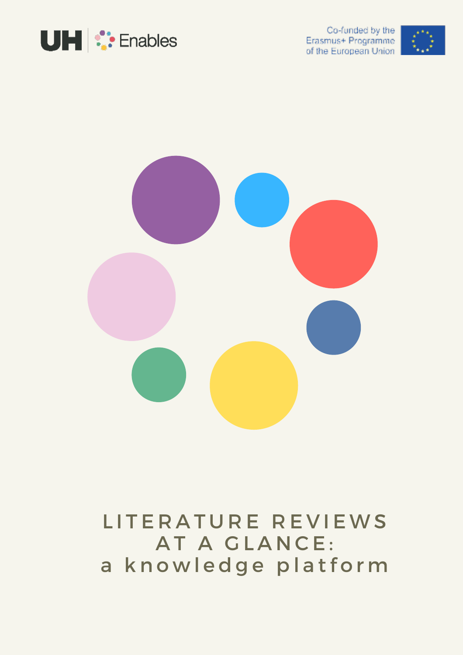

Co-funded by the Erasmus+ Programme of the European Union





### LITERATURE REVIEWS AT A GLANCE: a knowledge platform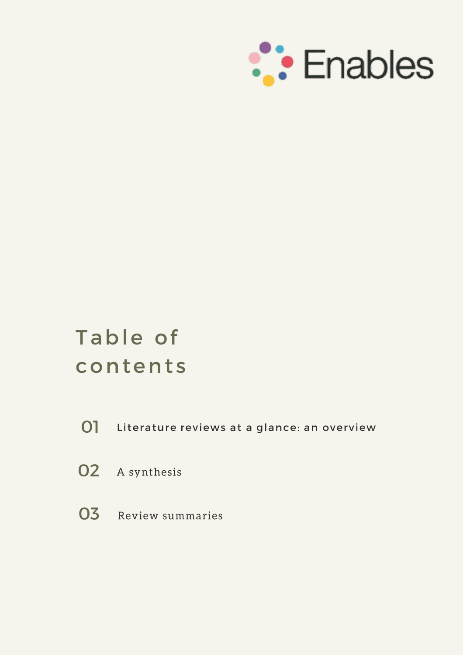

### Table of contents

- 01 Literature reviews at a glance: an overview
- **02** A synthesis
- 03 Review summaries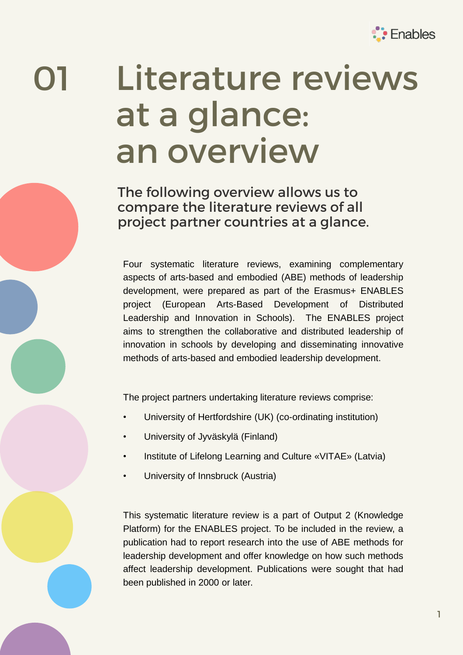

# **a**

### Literature reviews at a glance: an overview

The following overview allows us to compare the literature reviews of all project partner countries at a glance.

Four systematic literature reviews, examining complementary aspects of arts-based and embodied (ABE) methods of leadership development, were prepared as part of the Erasmus+ ENABLES project (European Arts-Based Development of Distributed Leadership and Innovation in Schools). The ENABLES project aims to strengthen the collaborative and distributed leadership of innovation in schools by developing and disseminating innovative methods of arts-based and embodied leadership development.

The project partners undertaking literature reviews comprise:

- University of Hertfordshire (UK) (co-ordinating institution)
- University of Jyväskylä (Finland)
- Institute of Lifelong Learning and Culture «VITAE» (Latvia)
- University of Innsbruck (Austria)

This systematic literature review is a part of Output 2 (Knowledge Platform) for the ENABLES project. To be included in the review, a publication had to report research into the use of ABE methods for leadership development and offer knowledge on how such methods affect leadership development. Publications were sought that had been published in 2000 or later.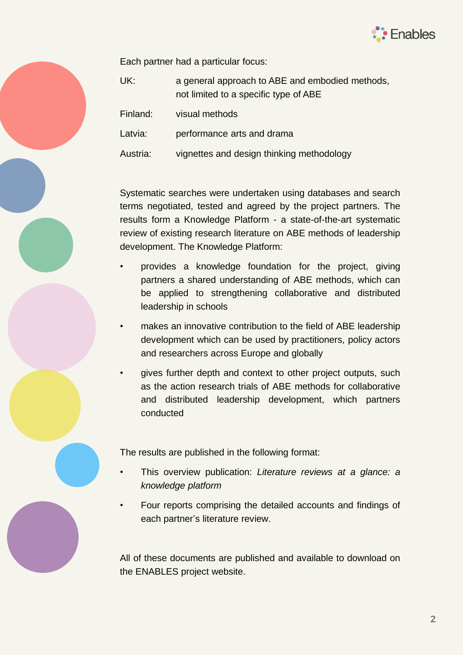

Each partner had a particular focus:

| UK:      | a general approach to ABE and embodied methods,<br>not limited to a specific type of ABE |
|----------|------------------------------------------------------------------------------------------|
| Finland: | visual methods                                                                           |
| Latvia:  | performance arts and drama                                                               |
| Austria: | vignettes and design thinking methodology                                                |

Systematic searches were undertaken using databases and search terms negotiated, tested and agreed by the project partners. The results form a Knowledge Platform - a state-of-the-art systematic review of existing research literature on ABE methods of leadership development. The Knowledge Platform:

- provides a knowledge foundation for the project, giving partners a shared understanding of ABE methods, which can be applied to strengthening collaborative and distributed leadership in schools
- makes an innovative contribution to the field of ABE leadership development which can be used by practitioners, policy actors and researchers across Europe and globally
- gives further depth and context to other project outputs, such as the action research trials of ABE methods for collaborative and distributed leadership development, which partners conducted

The results are published in the following format:

- This overview publication: *Literature reviews at a glance: a knowledge platform*
- Four reports comprising the detailed accounts and findings of each partner's literature review.

All of these documents are published and available to download on the ENABLES project website.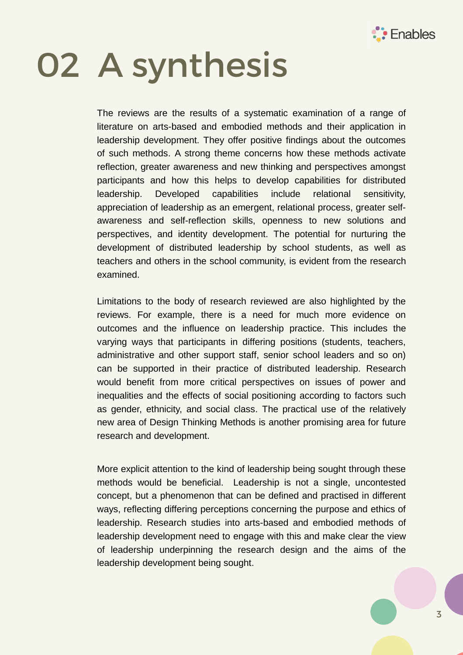

## 02 A synthesis

The reviews are the results of a systematic examination of a range of literature on arts-based and embodied methods and their application in leadership development. They offer positive findings about the outcomes of such methods. A strong theme concerns how these methods activate reflection, greater awareness and new thinking and perspectives amongst participants and how this helps to develop capabilities for distributed leadership. Developed capabilities include relational sensitivity, appreciation of leadership as an emergent, relational process, greater selfawareness and self-reflection skills, openness to new solutions and perspectives, and identity development. The potential for nurturing the development of distributed leadership by school students, as well as teachers and others in the school community, is evident from the research examined.

Limitations to the body of research reviewed are also highlighted by the reviews. For example, there is a need for much more evidence on outcomes and the influence on leadership practice. This includes the varying ways that participants in differing positions (students, teachers, administrative and other support staff, senior school leaders and so on) can be supported in their practice of distributed leadership. Research would benefit from more critical perspectives on issues of power and inequalities and the effects of social positioning according to factors such as gender, ethnicity, and social class. The practical use of the relatively new area of Design Thinking Methods is another promising area for future research and development.

More explicit attention to the kind of leadership being sought through these methods would be beneficial. Leadership is not a single, uncontested concept, but a phenomenon that can be defined and practised in different ways, reflecting differing perceptions concerning the purpose and ethics of leadership. Research studies into arts-based and embodied methods of leadership development need to engage with this and make clear the view of leadership underpinning the research design and the aims of the leadership development being sought.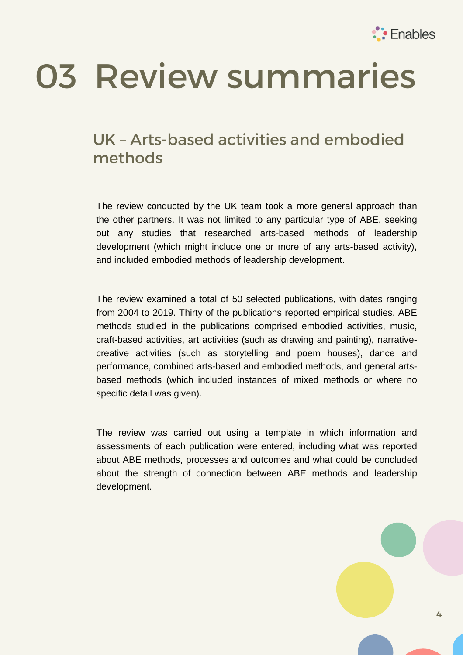

## 03 Review summaries

#### UK – Arts-based activities and embodied methods

The review conducted by the UK team took a more general approach than the other partners. It was not limited to any particular type of ABE, seeking out any studies that researched arts-based methods of leadership development (which might include one or more of any arts-based activity), and included embodied methods of leadership development.

The review examined a total of 50 selected publications, with dates ranging from 2004 to 2019. Thirty of the publications reported empirical studies. ABE methods studied in the publications comprised embodied activities, music, craft-based activities, art activities (such as drawing and painting), narrativecreative activities (such as storytelling and poem houses), dance and performance, combined arts-based and embodied methods, and general artsbased methods (which included instances of mixed methods or where no specific detail was given).

The review was carried out using a template in which information and assessments of each publication were entered, including what was reported about ABE methods, processes and outcomes and what could be concluded about the strength of connection between ABE methods and leadership development.

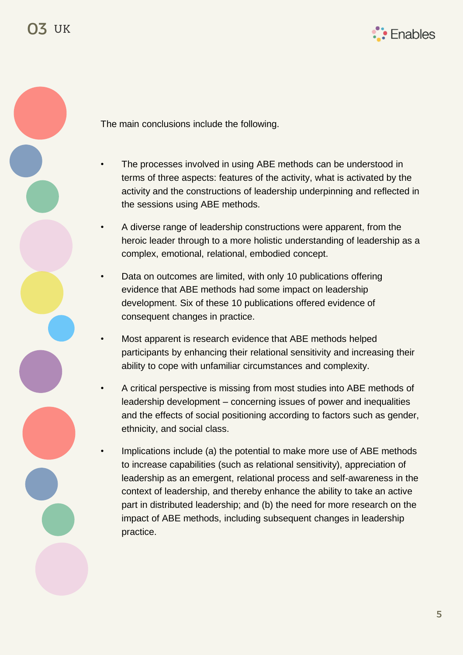



The main conclusions include the following.

- The processes involved in using ABE methods can be understood in terms of three aspects: features of the activity, what is activated by the activity and the constructions of leadership underpinning and reflected in the sessions using ABE methods.
- A diverse range of leadership constructions were apparent, from the heroic leader through to a more holistic understanding of leadership as a complex, emotional, relational, embodied concept.
- Data on outcomes are limited, with only 10 publications offering evidence that ABE methods had some impact on leadership development. Six of these 10 publications offered evidence of consequent changes in practice.
- Most apparent is research evidence that ABE methods helped participants by enhancing their relational sensitivity and increasing their ability to cope with unfamiliar circumstances and complexity.
- A critical perspective is missing from most studies into ABE methods of leadership development – concerning issues of power and inequalities and the effects of social positioning according to factors such as gender, ethnicity, and social class.
- Implications include (a) the potential to make more use of ABE methods to increase capabilities (such as relational sensitivity), appreciation of leadership as an emergent, relational process and self-awareness in the context of leadership, and thereby enhance the ability to take an active part in distributed leadership; and (b) the need for more research on the impact of ABE methods, including subsequent changes in leadership practice.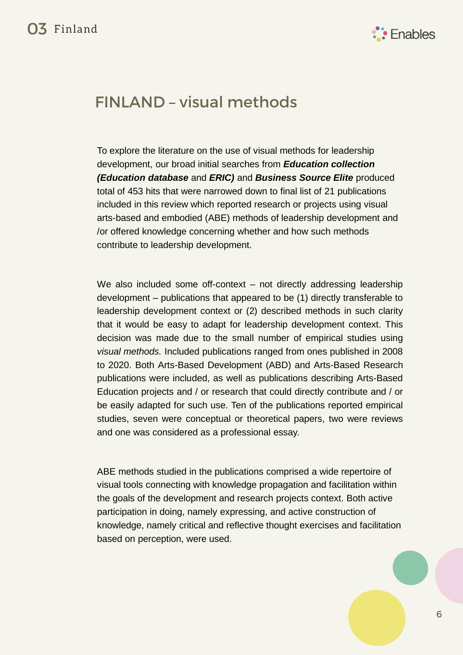

#### FINLAND – visual methods

To explore the literature on the use of visual methods for leadership development, our broad initial searches from *Education collection (Education database* and *ERIC)* and *Business Source Elite* produced total of 453 hits that were narrowed down to final list of 21 publications included in this review which reported research or projects using visual arts-based and embodied (ABE) methods of leadership development and /or offered knowledge concerning whether and how such methods contribute to leadership development.

We also included some off-context – not directly addressing leadership development – publications that appeared to be (1) directly transferable to leadership development context or (2) described methods in such clarity that it would be easy to adapt for leadership development context. This decision was made due to the small number of empirical studies using *visual methods.* Included publications ranged from ones published in 2008 to 2020. Both Arts-Based Development (ABD) and Arts-Based Research publications were included, as well as publications describing Arts-Based Education projects and / or research that could directly contribute and / or be easily adapted for such use. Ten of the publications reported empirical studies, seven were conceptual or theoretical papers, two were reviews and one was considered as a professional essay.

ABE methods studied in the publications comprised a wide repertoire of visual tools connecting with knowledge propagation and facilitation within the goals of the development and research projects context. Both active participation in doing, namely expressing, and active construction of knowledge, namely critical and reflective thought exercises and facilitation based on perception, were used.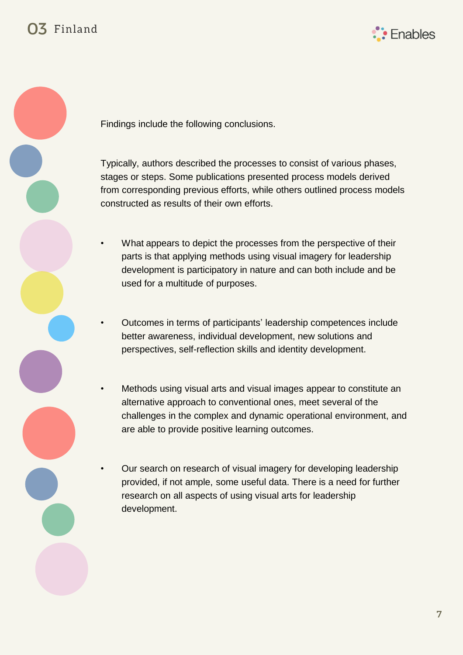



Findings include the following conclusions.

Typically, authors described the processes to consist of various phases, stages or steps. Some publications presented process models derived from corresponding previous efforts, while others outlined process models constructed as results of their own efforts.

- What appears to depict the processes from the perspective of their parts is that applying methods using visual imagery for leadership development is participatory in nature and can both include and be used for a multitude of purposes.
- Outcomes in terms of participants' leadership competences include better awareness, individual development, new solutions and perspectives, self-reflection skills and identity development.
- Methods using visual arts and visual images appear to constitute an alternative approach to conventional ones, meet several of the challenges in the complex and dynamic operational environment, and are able to provide positive learning outcomes.
- Our search on research of visual imagery for developing leadership provided, if not ample, some useful data. There is a need for further research on all aspects of using visual arts for leadership development.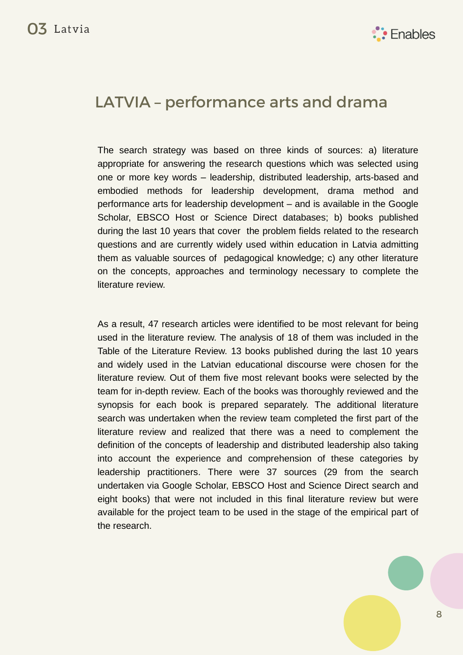

#### LATVIA – performance arts and drama

The search strategy was based on three kinds of sources: a) literature appropriate for answering the research questions which was selected using one or more key words – leadership, distributed leadership, arts-based and embodied methods for leadership development, drama method and performance arts for leadership development – and is available in the Google Scholar, EBSCO Host or Science Direct databases; b) books published during the last 10 years that cover the problem fields related to the research questions and are currently widely used within education in Latvia admitting them as valuable sources of pedagogical knowledge; c) any other literature on the concepts, approaches and terminology necessary to complete the literature review.

As a result, 47 research articles were identified to be most relevant for being used in the literature review. The analysis of 18 of them was included in the Table of the Literature Review. 13 books published during the last 10 years and widely used in the Latvian educational discourse were chosen for the literature review. Out of them five most relevant books were selected by the team for in-depth review. Each of the books was thoroughly reviewed and the synopsis for each book is prepared separately. The additional literature search was undertaken when the review team completed the first part of the literature review and realized that there was a need to complement the definition of the concepts of leadership and distributed leadership also taking into account the experience and comprehension of these categories by leadership practitioners. There were 37 sources (29 from the search undertaken via Google Scholar, EBSCO Host and Science Direct search and eight books) that were not included in this final literature review but were available for the project team to be used in the stage of the empirical part of the research.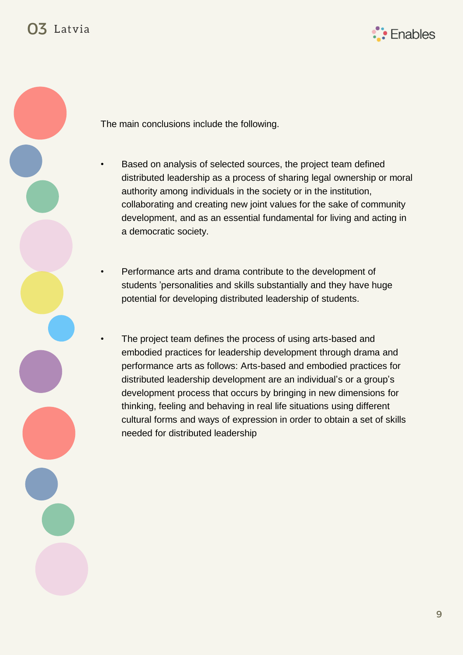



The main conclusions include the following.

- Based on analysis of selected sources, the project team defined distributed leadership as a process of sharing legal ownership or moral authority among individuals in the society or in the institution, collaborating and creating new joint values for the sake of community development, and as an essential fundamental for living and acting in a democratic society.
- Performance arts and drama contribute to the development of students 'personalities and skills substantially and they have huge potential for developing distributed leadership of students.
- The project team defines the process of using arts-based and embodied practices for leadership development through drama and performance arts as follows: Arts-based and embodied practices for distributed leadership development are an individual's or a group's development process that occurs by bringing in new dimensions for thinking, feeling and behaving in real life situations using different cultural forms and ways of expression in order to obtain a set of skills needed for distributed leadership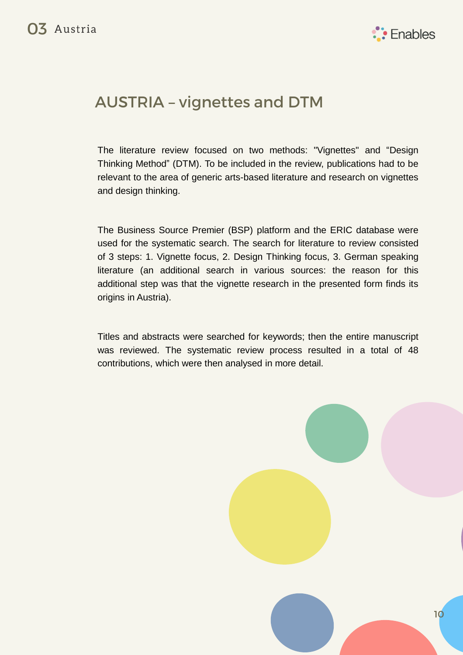

#### AUSTRIA – vignettes and DTM

The literature review focused on two methods: "Vignettes" and "Design Thinking Method" (DTM). To be included in the review, publications had to be relevant to the area of generic arts-based literature and research on vignettes and design thinking.

The Business Source Premier (BSP) platform and the ERIC database were used for the systematic search. The search for literature to review consisted of 3 steps: 1. Vignette focus, 2. Design Thinking focus, 3. German speaking literature (an additional search in various sources: the reason for this additional step was that the vignette research in the presented form finds its origins in Austria).

Titles and abstracts were searched for keywords; then the entire manuscript was reviewed. The systematic review process resulted in a total of 48 contributions, which were then analysed in more detail.

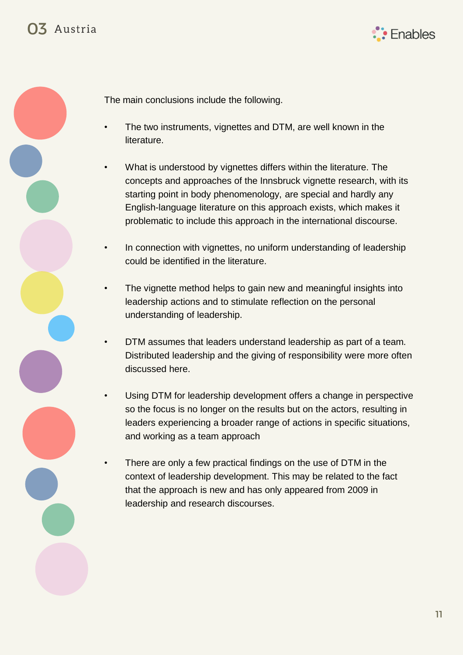



The main conclusions include the following.

- The two instruments, vignettes and DTM, are well known in the literature.
- What is understood by vignettes differs within the literature. The concepts and approaches of the Innsbruck vignette research, with its starting point in body phenomenology, are special and hardly any English-language literature on this approach exists, which makes it problematic to include this approach in the international discourse.
- In connection with vignettes, no uniform understanding of leadership could be identified in the literature.
- The vignette method helps to gain new and meaningful insights into leadership actions and to stimulate reflection on the personal understanding of leadership.
- DTM assumes that leaders understand leadership as part of a team. Distributed leadership and the giving of responsibility were more often discussed here.
- Using DTM for leadership development offers a change in perspective so the focus is no longer on the results but on the actors, resulting in leaders experiencing a broader range of actions in specific situations, and working as a team approach
- There are only a few practical findings on the use of DTM in the context of leadership development. This may be related to the fact that the approach is new and has only appeared from 2009 in leadership and research discourses.